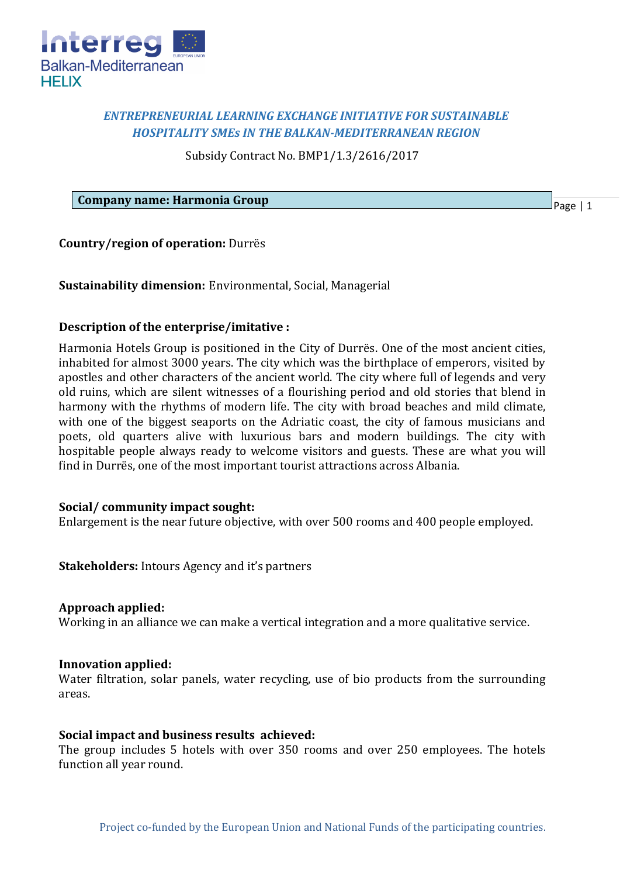

## *ENTREPRENEURIAL LEARNING EXCHANGE INITIATIVE FOR SUSTAINABLE HOSPITALITY SMEs IN THE BALKAN-MEDITERRANEAN REGION*

Subsidy Contract No. BMP1/1.3/2616/2017

**Company name: Harmonia Group**

Page | 1

**Country/region of operation:** Durrës

**Sustainability dimension:** Environmental, Social, Managerial

## **Description of the enterprise/imitative :**

Harmonia Hotels Group is positioned in the City of Durrës. One of the most ancient cities, inhabited for almost 3000 years. The city which was the birthplace of emperors, visited by apostles and other characters of the ancient world. The city where full of legends and very old ruins, which are silent witnesses of a flourishing period and old stories that blend in harmony with the rhythms of modern life. The city with broad beaches and mild climate, with one of the biggest seaports on the Adriatic coast, the city of famous musicians and poets, old quarters alive with luxurious bars and modern buildings. The city with hospitable people always ready to welcome visitors and guests. These are what you will find in Durrës, one of the most important tourist attractions across Albania.

### **Social/ community impact sought:**

Enlargement is the near future objective, with over 500 rooms and 400 people employed.

**Stakeholders:** Intours Agency and it's partners

#### **Approach applied:**

Working in an alliance we can make a vertical integration and a more qualitative service.

#### **Innovation applied:**

Water filtration, solar panels, water recycling, use of bio products from the surrounding areas.

#### **Social impact and business results achieved:**

The group includes 5 hotels with over 350 rooms and over 250 employees. The hotels function all year round.